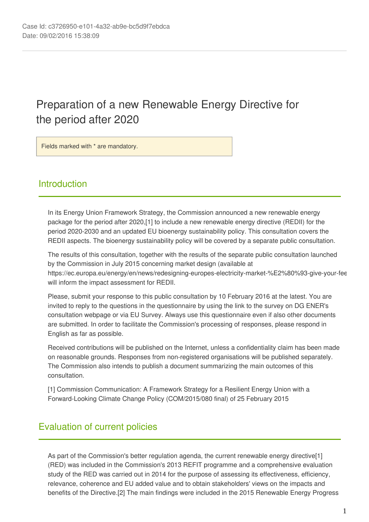# Preparation of a new Renewable Energy Directive for the period after 2020

Fields marked with \* are mandatory.

# **Introduction**

In its Energy Union Framework Strategy, the Commission announced a new renewable energy package for the period after 2020,[1] to include a new renewable energy directive (REDII) for the period 2020-2030 and an updated EU bioenergy sustainability policy. This consultation covers the REDII aspects. The bioenergy sustainability policy will be covered by a separate public consultation.

The results of this consultation, together with the results of the separate public consultation launched by the Commission in July 2015 concerning market design (available at https://ec.europa.eu/energy/en/news/redesigning-europes-electricity-market-%E2%80%93-give-your-fee will inform the impact assessment for REDII.

Please, submit your response to this public consultation by 10 February 2016 at the latest. You are invited to reply to the questions in the questionnaire by using the link to the survey on DG ENER's consultation webpage or via EU Survey. Always use this questionnaire even if also other documents are submitted. In order to facilitate the Commission's processing of responses, please respond in English as far as possible.

Received contributions will be published on the Internet, unless a confidentiality claim has been made on reasonable grounds. Responses from non-registered organisations will be published separately. The Commission also intends to publish a document summarizing the main outcomes of this consultation.

[1] Commission Communication: A Framework Strategy for a Resilient Energy Union with a Forward-Looking Climate Change Policy (COM/2015/080 final) of 25 February 2015

# Evaluation of current policies

As part of the Commission's better regulation agenda, the current renewable energy directive[1] (RED) was included in the Commission's 2013 REFIT programme and a comprehensive evaluation study of the RED was carried out in 2014 for the purpose of assessing its effectiveness, efficiency, relevance, coherence and EU added value and to obtain stakeholders' views on the impacts and benefits of the Directive.[2] The main findings were included in the 2015 Renewable Energy Progress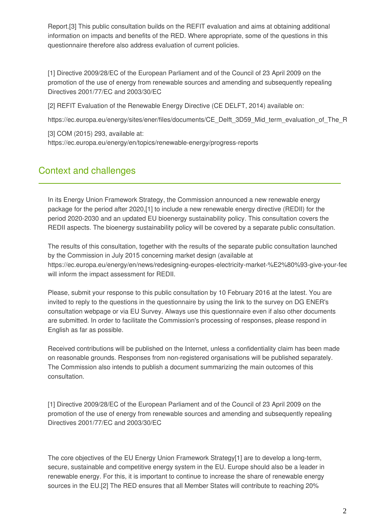Report.[3] This public consultation builds on the REFIT evaluation and aims at obtaining additional information on impacts and benefits of the RED. Where appropriate, some of the questions in this questionnaire therefore also address evaluation of current policies.

[1] Directive 2009/28/EC of the European Parliament and of the Council of 23 April 2009 on the promotion of the use of energy from renewable sources and amending and subsequently repealing Directives 2001/77/EC and 2003/30/EC

[2] REFIT Evaluation of the Renewable Energy Directive (CE DELFT, 2014) available on:

https://ec.europa.eu/energy/sites/ener/files/documents/CE\_Delft\_3D59\_Mid\_term\_evaluation\_of\_The\_R

[3] COM (2015) 293, available at: https://ec.europa.eu/energy/en/topics/renewable-energy/progress-reports

# Context and challenges

In its Energy Union Framework Strategy, the Commission announced a new renewable energy package for the period after 2020,[1] to include a new renewable energy directive (REDII) for the period 2020-2030 and an updated EU bioenergy sustainability policy. This consultation covers the REDII aspects. The bioenergy sustainability policy will be covered by a separate public consultation.

The results of this consultation, together with the results of the separate public consultation launched by the Commission in July 2015 concerning market design (available at https://ec.europa.eu/energy/en/news/redesigning-europes-electricity-market-%E2%80%93-give-your-fee will inform the impact assessment for REDII.

Please, submit your response to this public consultation by 10 February 2016 at the latest. You are invited to reply to the questions in the questionnaire by using the link to the survey on DG ENER's consultation webpage or via EU Survey. Always use this questionnaire even if also other documents are submitted. In order to facilitate the Commission's processing of responses, please respond in English as far as possible.

Received contributions will be published on the Internet, unless a confidentiality claim has been made on reasonable grounds. Responses from non-registered organisations will be published separately. The Commission also intends to publish a document summarizing the main outcomes of this consultation.

[1] Directive 2009/28/EC of the European Parliament and of the Council of 23 April 2009 on the promotion of the use of energy from renewable sources and amending and subsequently repealing Directives 2001/77/EC and 2003/30/EC

The core objectives of the EU Energy Union Framework Strategy[1] are to develop a long-term, secure, sustainable and competitive energy system in the EU. Europe should also be a leader in renewable energy. For this, it is important to continue to increase the share of renewable energy sources in the EU.[2] The RED ensures that all Member States will contribute to reaching 20%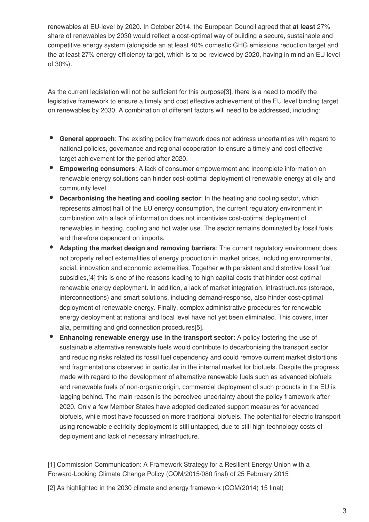renewables at EU-level by 2020. In October 2014, the European Council agreed that **at least** 27% share of renewables by 2030 would reflect a cost-optimal way of building a secure, sustainable and competitive energy system (alongside an at least 40% domestic GHG emissions reduction target and the at least 27% energy efficiency target, which is to be reviewed by 2020, having in mind an EU level of 30%).

As the current legislation will not be sufficient for this purpose[3], there is a need to modify the legislative framework to ensure a timely and cost effective achievement of the EU level binding target on renewables by 2030. A combination of different factors will need to be addressed, including:

- **General approach**: The existing policy framework does not address uncertainties with regard to national policies, governance and regional cooperation to ensure a timely and cost effective target achievement for the period after 2020.
- **Empowering consumers**: A lack of consumer empowerment and incomplete information on renewable energy solutions can hinder cost-optimal deployment of renewable energy at city and community level.
- **Decarbonising the heating and cooling sector**: In the heating and cooling sector, which represents almost half of the EU energy consumption, the current regulatory environment in combination with a lack of information does not incentivise cost-optimal deployment of renewables in heating, cooling and hot water use. The sector remains dominated by fossil fuels and therefore dependent on imports.
- **Adapting the market design and removing barriers**: The current regulatory environment does not properly reflect externalities of energy production in market prices, including environmental, social, innovation and economic externalities. Together with persistent and distortive fossil fuel subsidies,[4] this is one of the reasons leading to high capital costs that hinder cost-optimal renewable energy deployment. In addition, a lack of market integration, infrastructures (storage, interconnections) and smart solutions, including demand-response, also hinder cost-optimal deployment of renewable energy. Finally, complex administrative procedures for renewable energy deployment at national and local level have not yet been eliminated. This covers, inter alia, permitting and grid connection procedures[5].
- **Enhancing renewable energy use in the transport sector**: A policy fostering the use of sustainable alternative renewable fuels would contribute to decarbonising the transport sector and reducing risks related its fossil fuel dependency and could remove current market distortions and fragmentations observed in particular in the internal market for biofuels. Despite the progress made with regard to the development of alternative renewable fuels such as advanced biofuels and renewable fuels of non-organic origin, commercial deployment of such products in the EU is lagging behind. The main reason is the perceived uncertainty about the policy framework after 2020. Only a few Member States have adopted dedicated support measures for advanced biofuels, while most have focussed on more traditional biofuels. The potential for electric transport using renewable electricity deployment is still untapped, due to still high technology costs of deployment and lack of necessary infrastructure.

[1] Commission Communication: A Framework Strategy for a Resilient Energy Union with a Forward-Looking Climate Change Policy (COM/2015/080 final) of 25 February 2015

[2] As highlighted in the 2030 climate and energy framework (COM(2014) 15 final)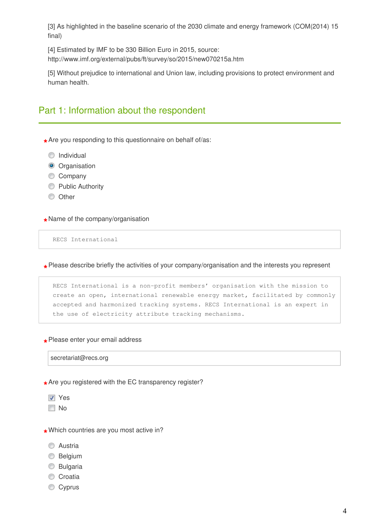[3] As highlighted in the baseline scenario of the 2030 climate and energy framework (COM(2014) 15 final)

[4] Estimated by IMF to be 330 Billion Euro in 2015, source: http://www.imf.org/external/pubs/ft/survey/so/2015/new070215a.htm

[5] Without prejudice to international and Union law, including provisions to protect environment and human health.

## Part 1: Information about the respondent

**\*** Are you responding to this questionnaire on behalf of/as:

**O** Individual

- **O** Organisation
- Company
- **Public Authority**
- **O** Other

**\*** Name of the company/organisation

RECS International

**\*** Please describe briefly the activities of your company/organisation and the interests you represent

RECS International is a non-profit members' organisation with the mission to create an open, international renewable energy market, facilitated by commonly accepted and harmonized tracking systems. RECS International is an expert in the use of electricity attribute tracking mechanisms.

**\*** Please enter your email address

secretariat@recs.org

**\*** Are you registered with the EC transparency register?

- **V** Yes
- **No**
- **\*** Which countries are you most active in?
	- **C** Austria
	- **Belgium**
	- **Bulgaria**
	- Croatia
	- Cyprus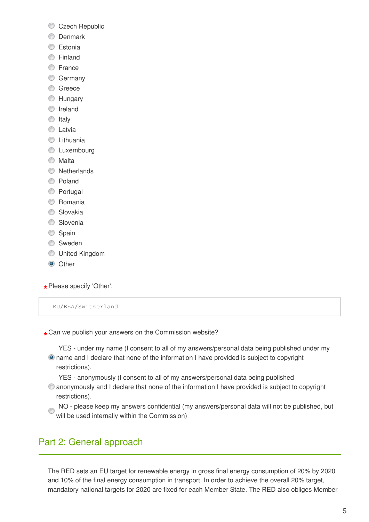- Czech Republic
- **O** Denmark
- **Estonia**
- **C** Finland
- **C** France
- **Germany**
- **C** Greece
- **EXT** Hungary
- **O** Ireland
- $\circ$  Italy
- **C** Latvia
- **C** Lithuania
- **C** Luxembourg
- **Malta**
- **Netherlands**
- C Poland
- **Portugal**
- **C** Romania
- **Slovakia**
- **Slovenia**
- Spain
- **Sweden**
- United Kingdom
- **O** Other
- **\*** Please specify 'Other':

EU/EEA/Switzerland

- **\*** Can we publish your answers on the Commission website?
	- YES under my name (I consent to all of my answers/personal data being published under my name and I declare that none of the information I have provided is subject to copyright restrictions).
		- - YES anonymously (I consent to all of my answers/personal data being published
	- anonymously and I declare that none of the information I have provided is subject to copyright restrictions).
	- NO please keep my answers confidential (my answers/personal data will not be published, but will be used internally within the Commission)

# Part 2: General approach

The RED sets an EU target for renewable energy in gross final energy consumption of 20% by 2020 and 10% of the final energy consumption in transport. In order to achieve the overall 20% target, mandatory national targets for 2020 are fixed for each Member State. The RED also obliges Member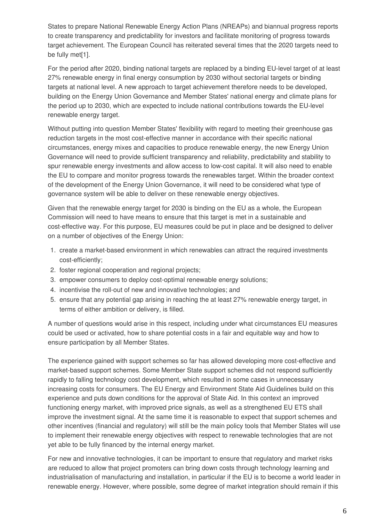States to prepare National Renewable Energy Action Plans (NREAPs) and biannual progress reports to create transparency and predictability for investors and facilitate monitoring of progress towards target achievement. The European Council has reiterated several times that the 2020 targets need to be fully met[1].

For the period after 2020, binding national targets are replaced by a binding EU-level target of at least 27% renewable energy in final energy consumption by 2030 without sectorial targets or binding targets at national level. A new approach to target achievement therefore needs to be developed, building on the Energy Union Governance and Member States' national energy and climate plans for the period up to 2030, which are expected to include national contributions towards the EU-level renewable energy target.

Without putting into question Member States' flexibility with regard to meeting their greenhouse gas reduction targets in the most cost-effective manner in accordance with their specific national circumstances, energy mixes and capacities to produce renewable energy, the new Energy Union Governance will need to provide sufficient transparency and reliability, predictability and stability to spur renewable energy investments and allow access to low-cost capital. It will also need to enable the EU to compare and monitor progress towards the renewables target. Within the broader context of the development of the Energy Union Governance, it will need to be considered what type of governance system will be able to deliver on these renewable energy objectives.

Given that the renewable energy target for 2030 is binding on the EU as a whole, the European Commission will need to have means to ensure that this target is met in a sustainable and cost-effective way. For this purpose, EU measures could be put in place and be designed to deliver on a number of objectives of the Energy Union:

- 1. create a market-based environment in which renewables can attract the required investments cost-efficiently;
- 2. foster regional cooperation and regional projects;
- 3. empower consumers to deploy cost-optimal renewable energy solutions;
- 4. incentivise the roll-out of new and innovative technologies; and
- 5. ensure that any potential gap arising in reaching the at least 27% renewable energy target, in terms of either ambition or delivery, is filled.

A number of questions would arise in this respect, including under what circumstances EU measures could be used or activated, how to share potential costs in a fair and equitable way and how to ensure participation by all Member States.

The experience gained with support schemes so far has allowed developing more cost-effective and market-based support schemes. Some Member State support schemes did not respond sufficiently rapidly to falling technology cost development, which resulted in some cases in unnecessary increasing costs for consumers. The EU Energy and Environment State Aid Guidelines build on this experience and puts down conditions for the approval of State Aid. In this context an improved functioning energy market, with improved price signals, as well as a strengthened EU ETS shall improve the investment signal. At the same time it is reasonable to expect that support schemes and other incentives (financial and regulatory) will still be the main policy tools that Member States will use to implement their renewable energy objectives with respect to renewable technologies that are not yet able to be fully financed by the internal energy market.

For new and innovative technologies, it can be important to ensure that regulatory and market risks are reduced to allow that project promoters can bring down costs through technology learning and industrialisation of manufacturing and installation, in particular if the EU is to become a world leader in renewable energy. However, where possible, some degree of market integration should remain if this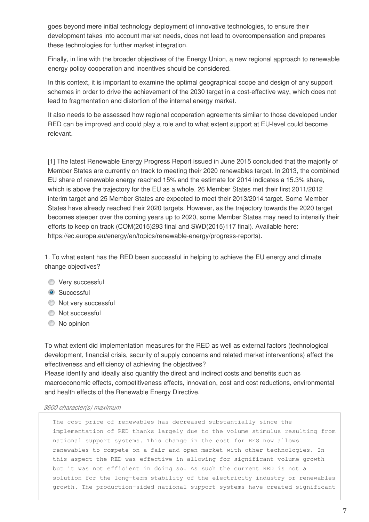goes beyond mere initial technology deployment of innovative technologies, to ensure their development takes into account market needs, does not lead to overcompensation and prepares these technologies for further market integration.

Finally, in line with the broader objectives of the Energy Union, a new regional approach to renewable energy policy cooperation and incentives should be considered.

In this context, it is important to examine the optimal geographical scope and design of any support schemes in order to drive the achievement of the 2030 target in a cost-effective way, which does not lead to fragmentation and distortion of the internal energy market.

It also needs to be assessed how regional cooperation agreements similar to those developed under RED can be improved and could play a role and to what extent support at EU-level could become relevant.

[1] The latest Renewable Energy Progress Report issued in June 2015 concluded that the majority of Member States are currently on track to meeting their 2020 renewables target. In 2013, the combined EU share of renewable energy reached 15% and the estimate for 2014 indicates a 15.3% share, which is above the trajectory for the EU as a whole. 26 Member States met their first 2011/2012 interim target and 25 Member States are expected to meet their 2013/2014 target. Some Member States have already reached their 2020 targets. However, as the trajectory towards the 2020 target becomes steeper over the coming years up to 2020, some Member States may need to intensify their efforts to keep on track (COM(2015)293 final and SWD(2015)117 final). Available here: https://ec.europa.eu/energy/en/topics/renewable-energy/progress-reports).

1. To what extent has the RED been successful in helping to achieve the EU energy and climate change objectives?

- **Very successful**
- **Successful**
- $\bullet$  Not very successful
- $\bullet$  Not successful
- $\bullet$  No opinion

To what extent did implementation measures for the RED as well as external factors (technological development, financial crisis, security of supply concerns and related market interventions) affect the effectiveness and efficiency of achieving the objectives?

Please identify and ideally also quantify the direct and indirect costs and benefits such as macroeconomic effects, competitiveness effects, innovation, cost and cost reductions, environmental and health effects of the Renewable Energy Directive.

#### *3600 character(s) maximum*

The cost price of renewables has decreased substantially since the implementation of RED thanks largely due to the volume stimulus resulting from national support systems. This change in the cost for RES now allows renewables to compete on a fair and open market with other technologies. In this aspect the RED was effective in allowing for significant volume growth but it was not efficient in doing so. As such the current RED is not a solution for the long-term stability of the electricity industry or renewables growth. The production-sided national support systems have created significant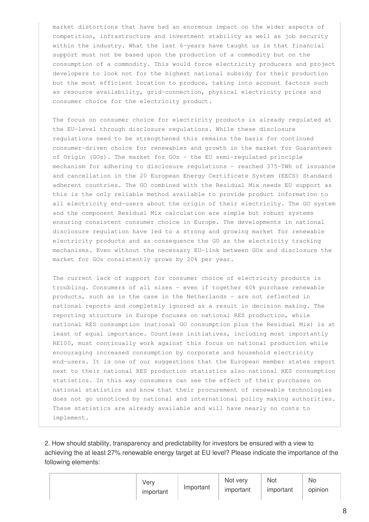market distortions that have had an enormous impact on the wider aspects of competition, infrastructure and investment stability as well as job security within the industry. What the last 6-years have taught us is that financial support must not be based upon the production of a commodity but on the consumption of a commodity. This would force electricity producers and project developers to look not for the highest national subsidy for their production but the most efficient location to produce, taking into account factors such as resource availability, grid-connection, physical electricity prices and consumer choice for the electricity product.

The focus on consumer choice for electricity products is already regulated at the EU-level through disclosure regulations. While these disclosure regulations need to be strengthened this remains the basis for continued consumer-driven choice for renewables and growth in the market for Guarantees of Origin (GOs). The market for GOs – the EU semi-regulated principle mechanism for adhering to disclosure regulations – reached 375-TWh of issuance and cancellation in the 20 European Energy Certificate System (EECS) Standard adherent countries. The GO combined with the Residual Mix needs EU support as this is the only reliable method available to provide product information to all electricity end-users about the origin of their electricity. The GO system and the component Residual Mix calculation are simple but robust systems ensuring consistent consumer choice in Europe. The developments in national disclosure regulation have led to a strong and growing market for renewable electricity products and as consequence the GO as the electricity tracking mechanisms. Even without the necessary EU-link between GOs and disclosure the market for GOs consistently grows by 20% per year.

The current lack of support for consumer choice of electricity products is troubling. Consumers of all sizes - even if together 40% purchase renewable products, such as is the case in the Netherlands - are not reflected in national reports and completely ignored as a result in decision making. The reporting structure in Europe focuses on national RES production, while national RES consumption (national GO consumption plus the Residual Mix) is at least of equal importance. Countless initiatives, including most importantly RE100, must continually work against this focus on national production while encouraging increased consumption by corporate and household electricity end-users. It is one of our suggestions that the European member states report next to their national RES production statistics also national RES consumption statistics. In this way consumers can see the effect of their purchases on national statistics and know that their procurement of renewable technologies does not go unnoticed by national and international policy making authorities. These statistics are already available and will have nearly no costs to implement.

2. How should stability, transparency and predictability for investors be ensured with a view to achieving the at least 27% renewable energy target at EU level? Please indicate the importance of the following elements:

| Verv      | Important | Not very  | Not       | No      |
|-----------|-----------|-----------|-----------|---------|
| important |           | important | important | opinion |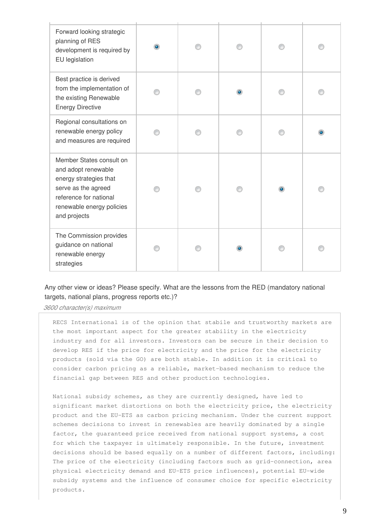| Forward looking strategic<br>planning of RES<br>development is required by<br>EU legislation                                                                            |  |   |  |
|-------------------------------------------------------------------------------------------------------------------------------------------------------------------------|--|---|--|
| Best practice is derived<br>from the implementation of<br>the existing Renewable<br><b>Energy Directive</b>                                                             |  |   |  |
| Regional consultations on<br>renewable energy policy<br>and measures are required                                                                                       |  |   |  |
| Member States consult on<br>and adopt renewable<br>energy strategies that<br>serve as the agreed<br>reference for national<br>renewable energy policies<br>and projects |  | ۰ |  |
| The Commission provides<br>guidance on national<br>renewable energy<br>strategies                                                                                       |  |   |  |

### Any other view or ideas? Please specify. What are the lessons from the RED (mandatory national targets, national plans, progress reports etc.)?

*3600 character(s) maximum* 

RECS International is of the opinion that stabile and trustworthy markets are the most important aspect for the greater stability in the electricity industry and for all investors. Investors can be secure in their decision to develop RES if the price for electricity and the price for the electricity products (sold via the GO) are both stable. In addition it is critical to consider carbon pricing as a reliable, market-based mechanism to reduce the financial gap between RES and other production technologies.

National subsidy schemes, as they are currently designed, have led to significant market distortions on both the electricity price, the electricity product and the EU-ETS as carbon pricing mechanism. Under the current support schemes decisions to invest in renewables are heavily dominated by a single factor, the guaranteed price received from national support systems, a cost for which the taxpayer is ultimately responsible. In the future, investment decisions should be based equally on a number of different factors, including: The price of the electricity (including factors such as grid-connection, area physical electricity demand and EU-ETS price influences), potential EU-wide subsidy systems and the influence of consumer choice for specific electricity products.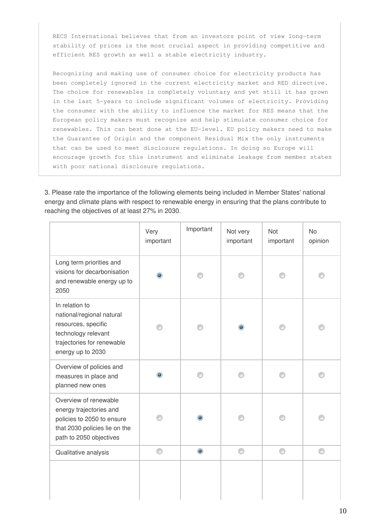RECS International believes that from an investors point of view long-term stability of prices is the most crucial aspect in providing competitive and efficient RES growth as well a stable electricity industry.

Recognizing and making use of consumer choice for electricity products has been completely ignored in the current electricity market and RED directive. The choice for renewables is completely voluntary and yet still it has grown in the last 5-years to include significant volumes of electricity. Providing the consumer with the ability to influence the market for RES means that the European policy makers must recognize and help stimulate consumer choice for renewables. This can best done at the EU-level. EU policy makers need to make the Guarantee of Origin and the component Residual Mix the only instruments that can be used to meet disclosure regulations. In doing so Europe will encourage growth for this instrument and eliminate leakage from member states with poor national disclosure regulations.

3. Please rate the importance of the following elements being included in Member States' national energy and climate plans with respect to renewable energy in ensuring that the plans contribute to reaching the objectives of at least 27% in 2030.

|                                                                                                                                              | Very<br>important | Important | Not very<br>important | <b>Not</b><br>important | <b>No</b><br>opinion |
|----------------------------------------------------------------------------------------------------------------------------------------------|-------------------|-----------|-----------------------|-------------------------|----------------------|
| Long term priorities and<br>visions for decarbonisation<br>and renewable energy up to<br>2050                                                | $\bullet$         |           |                       |                         |                      |
| In relation to<br>national/regional natural<br>resources, specific<br>technology relevant<br>trajectories for renewable<br>energy up to 2030 |                   |           | $\bullet$             | ∩                       |                      |
| Overview of policies and<br>measures in place and<br>planned new ones                                                                        | $\bullet$         |           |                       |                         |                      |
| Overview of renewable<br>energy trajectories and<br>policies to 2050 to ensure<br>that 2030 policies lie on the<br>path to 2050 objectives   |                   | ۵         |                       |                         |                      |
| Qualitative analysis                                                                                                                         | 0                 | $\bullet$ | ⊙                     | 0                       | 0                    |
|                                                                                                                                              |                   |           |                       |                         |                      |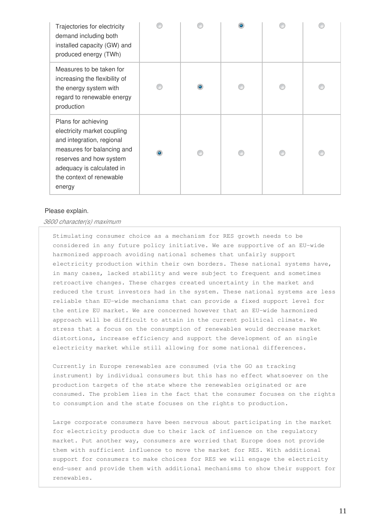| Trajectories for electricity<br>demand including both<br>installed capacity (GW) and<br>produced energy (TWh)                                                                                               |           |   |  |  |
|-------------------------------------------------------------------------------------------------------------------------------------------------------------------------------------------------------------|-----------|---|--|--|
| Measures to be taken for<br>increasing the flexibility of<br>the energy system with<br>regard to renewable energy<br>production                                                                             |           | ۵ |  |  |
| Plans for achieving<br>electricity market coupling<br>and integration, regional<br>measures for balancing and<br>reserves and how system<br>adequacy is calculated in<br>the context of renewable<br>energy | $\bullet$ |   |  |  |

#### Please explain.

#### *3600 character(s) maximum*

Stimulating consumer choice as a mechanism for RES growth needs to be considered in any future policy initiative. We are supportive of an EU-wide harmonized approach avoiding national schemes that unfairly support electricity production within their own borders. These national systems have, in many cases, lacked stability and were subject to frequent and sometimes retroactive changes. These charges created uncertainty in the market and reduced the trust investors had in the system. These national systems are less reliable than EU-wide mechanisms that can provide a fixed support level for the entire EU market. We are concerned however that an EU-wide harmonized approach will be difficult to attain in the current political climate. We stress that a focus on the consumption of renewables would decrease market distortions, increase efficiency and support the development of an single electricity market while still allowing for some national differences.

Currently in Europe renewables are consumed (via the GO as tracking instrument) by individual consumers but this has no effect whatsoever on the production targets of the state where the renewables originated or are consumed. The problem lies in the fact that the consumer focuses on the rights to consumption and the state focuses on the rights to production.

Large corporate consumers have been nervous about participating in the market for electricity products due to their lack of influence on the regulatory market. Put another way, consumers are worried that Europe does not provide them with sufficient influence to move the market for RES. With additional support for consumers to make choices for RES we will engage the electricity end-user and provide them with additional mechanisms to show their support for renewables.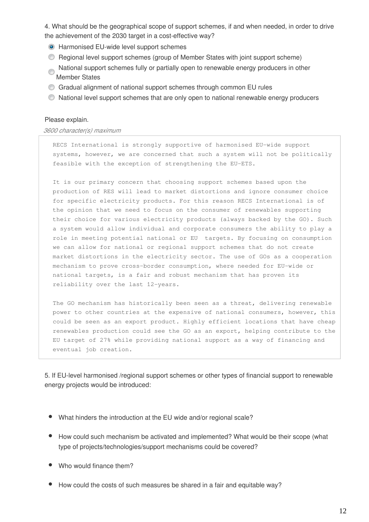4. What should be the geographical scope of support schemes, if and when needed, in order to drive the achievement of the 2030 target in a cost-effective way?

- Harmonised EU-wide level support schemes
- Regional level support schemes (group of Member States with joint support scheme)
- National support schemes fully or partially open to renewable energy producers in other Member States
- Gradual alignment of national support schemes through common EU rules
- National level support schemes that are only open to national renewable energy producers

#### Please explain.

#### *3600 character(s) maximum*

RECS International is strongly supportive of harmonised EU-wide support systems, however, we are concerned that such a system will not be politically feasible with the exception of strengthening the EU-ETS.

It is our primary concern that choosing support schemes based upon the production of RES will lead to market distortions and ignore consumer choice for specific electricity products. For this reason RECS International is of the opinion that we need to focus on the consumer of renewables supporting their choice for various electricity products (always backed by the GO). Such a system would allow individual and corporate consumers the ability to play a role in meeting potential national or EU targets. By focusing on consumption we can allow for national or regional support schemes that do not create market distortions in the electricity sector. The use of GOs as a cooperation mechanism to prove cross-border consumption, where needed for EU-wide or national targets, is a fair and robust mechanism that has proven its reliability over the last 12-years.

The GO mechanism has historically been seen as a threat, delivering renewable power to other countries at the expensive of national consumers, however, this could be seen as an export product. Highly efficient locations that have cheap renewables production could see the GO as an export, helping contribute to the EU target of 27% while providing national support as a way of financing and eventual job creation.

5. If EU-level harmonised /regional support schemes or other types of financial support to renewable energy projects would be introduced:

- What hinders the introduction at the EU wide and/or regional scale?
- How could such mechanism be activated and implemented? What would be their scope (what type of projects/technologies/support mechanisms could be covered?
- Who would finance them?
- How could the costs of such measures be shared in a fair and equitable way?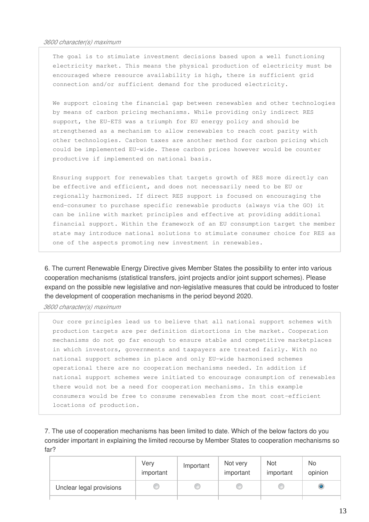The goal is to stimulate investment decisions based upon a well functioning electricity market. This means the physical production of electricity must be encouraged where resource availability is high, there is sufficient grid connection and/or sufficient demand for the produced electricity.

We support closing the financial gap between renewables and other technologies by means of carbon pricing mechanisms. While providing only indirect RES support, the EU-ETS was a triumph for EU energy policy and should be strengthened as a mechanism to allow renewables to reach cost parity with other technologies. Carbon taxes are another method for carbon pricing which could be implemented EU-wide. These carbon prices however would be counter productive if implemented on national basis.

Ensuring support for renewables that targets growth of RES more directly can be effective and efficient, and does not necessarily need to be EU or regionally harmonized. If direct RES support is focused on encouraging the end-consumer to purchase specific renewable products (always via the GO) it can be inline with market principles and effective at providing additional financial support. Within the framework of an EU consumption target the member state may introduce national solutions to stimulate consumer choice for RES as one of the aspects promoting new investment in renewables.

6. The current Renewable Energy Directive gives Member States the possibility to enter into various cooperation mechanisms (statistical transfers, joint projects and/or joint support schemes). Please expand on the possible new legislative and non-legislative measures that could be introduced to foster the development of cooperation mechanisms in the period beyond 2020.

*3600 character(s) maximum* 

Our core principles lead us to believe that all national support schemes with production targets are per definition distortions in the market. Cooperation mechanisms do not go far enough to ensure stable and competitive marketplaces in which investors, governments and taxpayers are treated fairly. With no national support schemes in place and only EU-wide harmonised schemes operational there are no cooperation mechanisms needed. In addition if national support schemes were initiated to encourage consumption of renewables there would not be a need for cooperation mechanisms. In this example consumers would be free to consume renewables from the most cost-efficient locations of production.

7. The use of cooperation mechanisms has been limited to date. Which of the below factors do you consider important in explaining the limited recourse by Member States to cooperation mechanisms so far?

|                          | Very<br>important | Important | Not very<br>important | Not<br>important | No<br>opinion  |
|--------------------------|-------------------|-----------|-----------------------|------------------|----------------|
| Unclear legal provisions |                   |           | œ                     |                  | $\circledcirc$ |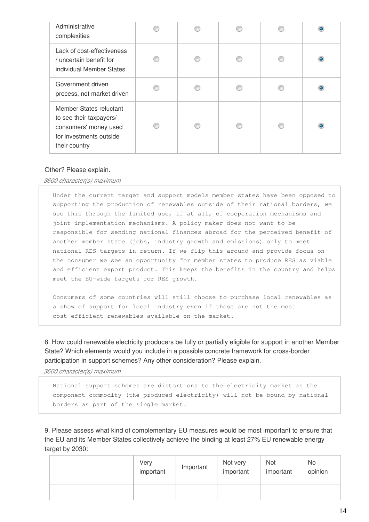| Administrative<br>complexities                                                                                          |  |  |  |
|-------------------------------------------------------------------------------------------------------------------------|--|--|--|
| Lack of cost-effectiveness<br>/ uncertain benefit for<br>individual Member States                                       |  |  |  |
| Government driven<br>process, not market driven                                                                         |  |  |  |
| Member States reluctant<br>to see their taxpayers/<br>consumers' money used<br>for investments outside<br>their country |  |  |  |

#### Other? Please explain.

*3600 character(s) maximum* 

Under the current target and support models member states have been opposed to supporting the production of renewables outside of their national borders, we see this through the limited use, if at all, of cooperation mechanisms and joint implementation mechanisms. A policy maker does not want to be responsible for sending national finances abroad for the perceived benefit of another member state (jobs, industry growth and emissions) only to meet national RES targets in return. If we flip this around and provide focus on the consumer we see an opportunity for member states to produce RES as viable and efficient export product. This keeps the benefits in the country and helps meet the EU-wide targets for RES growth.

Consumers of some countries will still choose to purchase local renewables as a show of support for local industry even if these are not the most cost-efficient renewables available on the market.

8. How could renewable electricity producers be fully or partially eligible for support in another Member State? Which elements would you include in a possible concrete framework for cross-border participation in support schemes? Any other consideration? Please explain.

*3600 character(s) maximum* 

National support schemes are distortions to the electricity market as the component commodity (the produced electricity) will not be bound by national borders as part of the single market.

9. Please assess what kind of complementary EU measures would be most important to ensure that the EU and its Member States collectively achieve the binding at least 27% EU renewable energy target by 2030:

| Very<br>important | Important | Not very<br>important | Not<br>important | No.<br>opinion |
|-------------------|-----------|-----------------------|------------------|----------------|
|                   |           |                       |                  |                |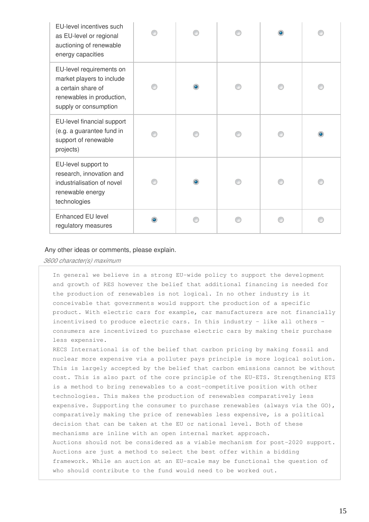| EU-level incentives such<br>as EU-level or regional<br>auctioning of renewable<br>energy capacities                               |           |  |  |
|-----------------------------------------------------------------------------------------------------------------------------------|-----------|--|--|
| EU-level requirements on<br>market players to include<br>a certain share of<br>renewables in production,<br>supply or consumption | ۰         |  |  |
| EU-level financial support<br>(e.g. a guarantee fund in<br>support of renewable<br>projects)                                      |           |  |  |
| EU-level support to<br>research, innovation and<br>industrialisation of novel<br>renewable energy<br>technologies                 | $\bullet$ |  |  |
| Enhanced EU level<br>regulatory measures                                                                                          |           |  |  |

#### Any other ideas or comments, please explain.

*3600 character(s) maximum* 

In general we believe in a strong EU-wide policy to support the development and growth of RES however the belief that additional financing is needed for the production of renewables is not logical. In no other industry is it conceivable that governments would support the production of a specific product. With electric cars for example, car manufacturers are not financially incentivised to produce electric cars. In this industry - like all others – consumers are incentivized to purchase electric cars by making their purchase less expensive.

RECS International is of the belief that carbon pricing by making fossil and nuclear more expensive via a polluter pays principle is more logical solution. This is largely accepted by the belief that carbon emissions cannot be without cost. This is also part of the core principle of the EU-ETS. Strengthening ETS is a method to bring renewables to a cost-competitive position with other technologies. This makes the production of renewables comparatively less expensive. Supporting the consumer to purchase renewables (always via the GO), comparatively making the price of renewables less expensive, is a political decision that can be taken at the EU or national level. Both of these mechanisms are inline with an open internal market approach. Auctions should not be considered as a viable mechanism for post-2020 support. Auctions are just a method to select the best offer within a bidding framework. While an auction at an EU-scale may be functional the question of who should contribute to the fund would need to be worked out.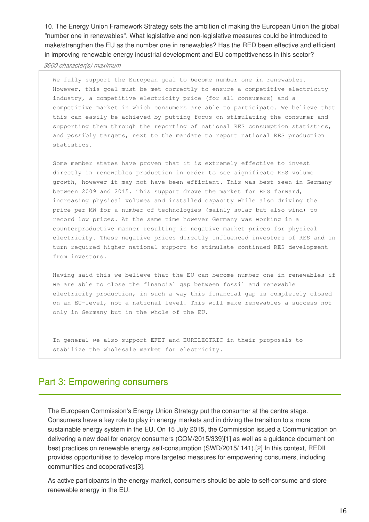10. The Energy Union Framework Strategy sets the ambition of making the European Union the global "number one in renewables". What legislative and non-legislative measures could be introduced to make/strengthen the EU as the number one in renewables? Has the RED been effective and efficient in improving renewable energy industrial development and EU competitiveness in this sector?

*3600 character(s) maximum* 

We fully support the European goal to become number one in renewables. However, this goal must be met correctly to ensure a competitive electricity industry, a competitive electricity price (for all consumers) and a competitive market in which consumers are able to participate. We believe that this can easily be achieved by putting focus on stimulating the consumer and supporting them through the reporting of national RES consumption statistics, and possibly targets, next to the mandate to report national RES production statistics.

Some member states have proven that it is extremely effective to invest directly in renewables production in order to see significate RES volume growth, however it may not have been efficient. This was best seen in Germany between 2009 and 2015. This support drove the market for RES forward, increasing physical volumes and installed capacity while also driving the price per MW for a number of technologies (mainly solar but also wind) to record low prices. At the same time however Germany was working in a counterproductive manner resulting in negative market prices for physical electricity. These negative prices directly influenced investors of RES and in turn required higher national support to stimulate continued RES development from investors.

Having said this we believe that the EU can become number one in renewables if we are able to close the financial gap between fossil and renewable electricity production, in such a way this financial gap is completely closed on an EU–level, not a national level. This will make renewables a success not only in Germany but in the whole of the EU.

In general we also support EFET and EURELECTRIC in their proposals to stabilize the wholesale market for electricity.

# Part 3: Empowering consumers

The European Commission's Energy Union Strategy put the consumer at the centre stage. Consumers have a key role to play in energy markets and in driving the transition to a more sustainable energy system in the EU. On 15 July 2015, the Commission issued a Communication on delivering a new deal for energy consumers (COM/2015/339)[1] as well as a guidance document on best practices on renewable energy self-consumption (SWD/2015/ 141).[2] In this context, REDII provides opportunities to develop more targeted measures for empowering consumers, including communities and cooperatives[3].

As active participants in the energy market, consumers should be able to self-consume and store renewable energy in the EU.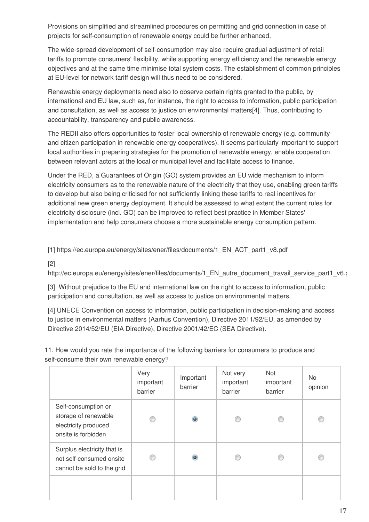Provisions on simplified and streamlined procedures on permitting and grid connection in case of projects for self-consumption of renewable energy could be further enhanced.

The wide-spread development of self-consumption may also require gradual adjustment of retail tariffs to promote consumers' flexibility, while supporting energy efficiency and the renewable energy objectives and at the same time minimise total system costs. The establishment of common principles at EU-level for network tariff design will thus need to be considered.

Renewable energy deployments need also to observe certain rights granted to the public, by international and EU law, such as, for instance, the right to access to information, public participation and consultation, as well as access to justice on environmental matters[4]. Thus, contributing to accountability, transparency and public awareness.

The REDII also offers opportunities to foster local ownership of renewable energy (e.g. community and citizen participation in renewable energy cooperatives). It seems particularly important to support local authorities in preparing strategies for the promotion of renewable energy, enable cooperation between relevant actors at the local or municipal level and facilitate access to finance.

Under the RED, a Guarantees of Origin (GO) system provides an EU wide mechanism to inform electricity consumers as to the renewable nature of the electricity that they use, enabling green tariffs to develop but also being criticised for not sufficiently linking these tariffs to real incentives for additional new green energy deployment. It should be assessed to what extent the current rules for electricity disclosure (incl. GO) can be improved to reflect best practice in Member States' implementation and help consumers choose a more sustainable energy consumption pattern.

[1] https://ec.europa.eu/energy/sites/ener/files/documents/1\_EN\_ACT\_part1\_v8.pdf

[2]

http://ec.europa.eu/energy/sites/ener/files/documents/1\_EN\_autre\_document\_travail\_service\_part1\_v6.pdf

[3] Without prejudice to the EU and international law on the right to access to information, public participation and consultation, as well as access to justice on environmental matters.

[4] UNECE Convention on access to information, public participation in decision-making and access to justice in environmental matters (Aarhus Convention), Directive 2011/92/EU, as amended by Directive 2014/52/EU (EIA Directive), Directive 2001/42/EC (SEA Directive).

11. How would you rate the importance of the following barriers for consumers to produce and self-consume their own renewable energy?

|                                                                                            | Very<br>important<br>barrier | Important<br>barrier | Not very<br>important<br>barrier | Not<br>important<br>barrier | No.<br>opinion |
|--------------------------------------------------------------------------------------------|------------------------------|----------------------|----------------------------------|-----------------------------|----------------|
| Self-consumption or<br>storage of renewable<br>electricity produced<br>onsite is forbidden | ∩                            | ۰                    | €                                |                             | ⋒              |
| Surplus electricity that is<br>not self-consumed onsite<br>cannot be sold to the grid      | €                            | ۰                    | €                                |                             |                |
|                                                                                            |                              |                      |                                  |                             |                |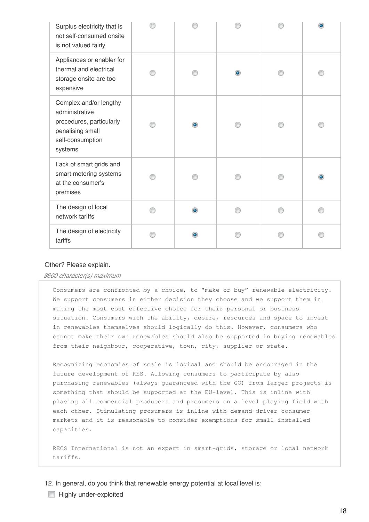| Surplus electricity that is<br>not self-consumed onsite<br>is not valued fairly                                         |   |           |  |
|-------------------------------------------------------------------------------------------------------------------------|---|-----------|--|
| Appliances or enabler for<br>thermal and electrical<br>storage onsite are too<br>expensive                              |   | $\bullet$ |  |
| Complex and/or lengthy<br>administrative<br>procedures, particularly<br>penalising small<br>self-consumption<br>systems | ۰ |           |  |
| Lack of smart grids and<br>smart metering systems<br>at the consumer's<br>premises                                      |   |           |  |
| The design of local<br>network tariffs                                                                                  | ۰ |           |  |
| The design of electricity<br>tariffs                                                                                    |   |           |  |

#### Other? Please explain.

*3600 character(s) maximum* 

Consumers are confronted by a choice, to "make or buy" renewable electricity. We support consumers in either decision they choose and we support them in making the most cost effective choice for their personal or business situation. Consumers with the ability, desire, resources and space to invest in renewables themselves should logically do this. However, consumers who cannot make their own renewables should also be supported in buying renewables from their neighbour, cooperative, town, city, supplier or state.

Recognizing economies of scale is logical and should be encouraged in the future development of RES. Allowing consumers to participate by also purchasing renewables (always guaranteed with the GO) from larger projects is something that should be supported at the EU-level. This is inline with placing all commercial producers and prosumers on a level playing field with each other. Stimulating prosumers is inline with demand-driver consumer markets and it is reasonable to consider exemptions for small installed capacities.

RECS International is not an expert in smart-grids, storage or local network tariffs.

12. In general, do you think that renewable energy potential at local level is:

**Highly under-exploited**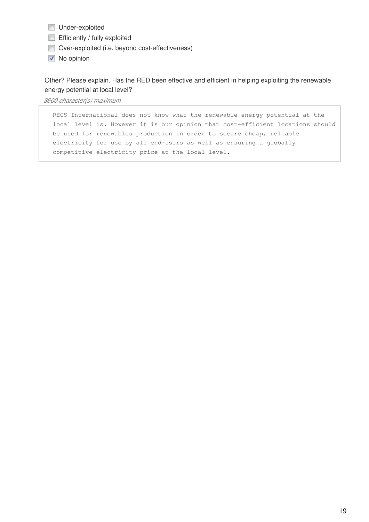- **Under-exploited**
- $\Box$  Efficiently / fully exploited
- Over-exploited (i.e. beyond cost-effectiveness)
- **V** No opinion

Other? Please explain. Has the RED been effective and efficient in helping exploiting the renewable energy potential at local level?

*3600 character(s) maximum* 

RECS International does not know what the renewable energy potential at the local level is. However it is our opinion that cost-efficient locations should be used for renewables production in order to secure cheap, reliable electricity for use by all end-users as well as ensuring a globally competitive electricity price at the local level.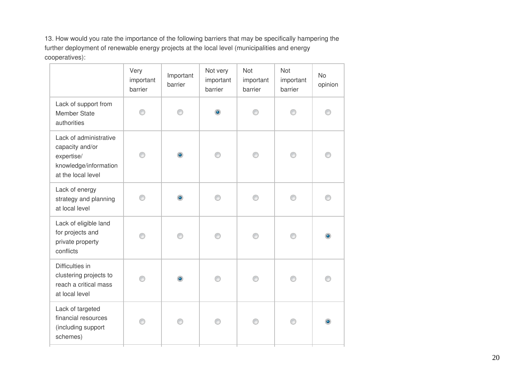13. How would you rate the importance of the following barriers that may be specifically hampering the further deployment of renewable energy projects at the local level (municipalities and energy cooperatives):

|                                                                                                        | Very<br>important<br>barrier | Important<br>barrier | Not very<br>important<br>barrier | <b>Not</b><br>important<br>barrier | <b>Not</b><br>important<br>barrier | <b>No</b><br>opinion |
|--------------------------------------------------------------------------------------------------------|------------------------------|----------------------|----------------------------------|------------------------------------|------------------------------------|----------------------|
| Lack of support from<br><b>Member State</b><br>authorities                                             | ∩                            | ⋒                    | $\circledcirc$                   | ∩                                  | ∩                                  |                      |
| Lack of administrative<br>capacity and/or<br>expertise/<br>knowledge/information<br>at the local level |                              | $\bullet$            | ∩                                | ⊙                                  |                                    |                      |
| Lack of energy<br>strategy and planning<br>at local level                                              | ⋒                            | $\bullet$            | ∩                                | ⊙                                  | ∩                                  |                      |
| Lack of eligible land<br>for projects and<br>private property<br>conflicts                             |                              |                      | ⋒                                | ∩                                  | ∩                                  |                      |
| Difficulties in<br>clustering projects to<br>reach a critical mass<br>at local level                   |                              | $\bullet$            |                                  | ⋒                                  | ∩                                  |                      |
| Lack of targeted<br>financial resources<br>(including support<br>schemes)                              |                              |                      | ⋒                                | ∩                                  |                                    |                      |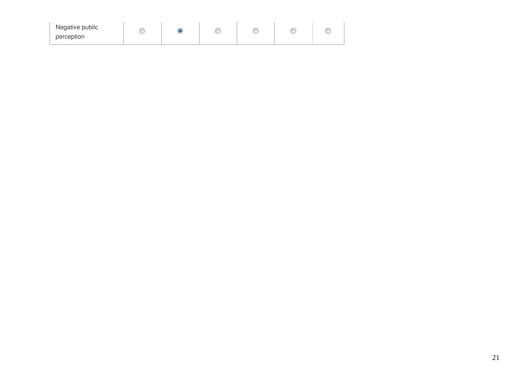| Negative public<br><b>All Color</b><br>ò<br>o<br>C<br><b>JOHN</b><br>ß<br>c<br>$\sim$<br>ー<br>$\sim$<br>ー<br>perception |
|-------------------------------------------------------------------------------------------------------------------------|
|                                                                                                                         |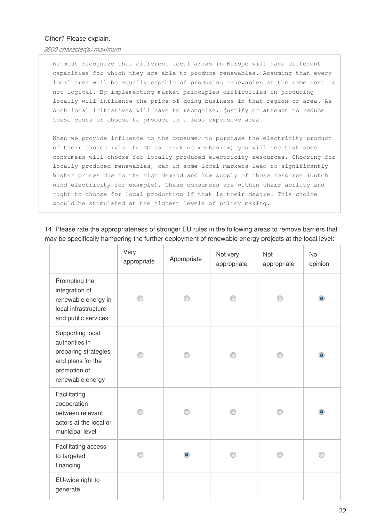#### Other? Please explain.

*3600 character(s) maximum* 

We must recognize that different local areas in Europe will have different capacities for which they are able to produce renewables. Assuming that every local area will be equally capable of producing renewables at the same cost is not logical. By implementing market principles difficulties in producing locally will influence the price of doing business in that region or area. As such local initiatives will have to recognize, justify or attempt to reduce these costs or choose to produce in a less expensive area.

When we provide influence to the consumer to purchase the electricity product of their choice (via the GO as tracking mechanism) you will see that some consumers will choose for locally produced electricity resources. Choosing for locally produced renewables, can in some local markets lead to significantly higher prices due to the high demand and low supply of these resource (Dutch wind electricity for example). These consumers are within their ability and right to choose for local production if that is their desire. This choice should be stimulated at the highest levels of policy making.

14. Please rate the appropriateness of stronger EU rules in the following areas to remove barriers that may be specifically hampering the further deployment of renewable energy projects at the local level:

|                                                                                                                     | Very<br>appropriate | Appropriate | Not very<br>appropriate | Not<br>appropriate | <b>No</b><br>opinion |
|---------------------------------------------------------------------------------------------------------------------|---------------------|-------------|-------------------------|--------------------|----------------------|
| Promoting the<br>integration of<br>renewable energy in<br>local infrastructure<br>and public services               |                     |             |                         |                    | $\bullet$            |
| Supporting local<br>authorities in<br>preparing strategies<br>and plans for the<br>promotion of<br>renewable energy |                     |             |                         |                    |                      |
| Facilitating<br>cooperation<br>between relevant<br>actors at the local or<br>municipal level                        |                     |             |                         |                    |                      |
| Facilitating access<br>to targeted<br>financing                                                                     |                     |             |                         |                    |                      |
| EU-wide right to<br>generate,                                                                                       |                     |             |                         |                    |                      |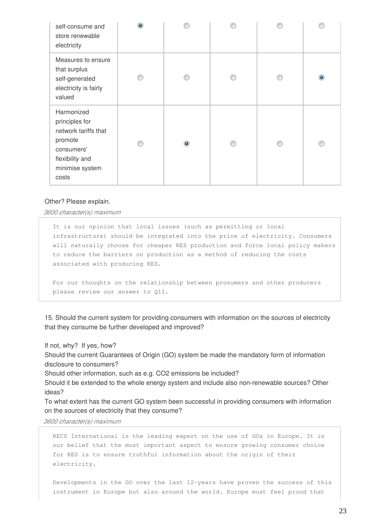| self-consume and<br>store renewable<br>electricity                                                                           |   |  |   |
|------------------------------------------------------------------------------------------------------------------------------|---|--|---|
| Measures to ensure<br>that surplus<br>self-generated<br>electricity is fairly<br>valued                                      |   |  | ۰ |
| Harmonized<br>principles for<br>network tariffs that<br>promote<br>consumers'<br>flexibility and<br>minimise system<br>costs | ۰ |  |   |

#### Other? Please explain.

*3600 character(s) maximum* 

It is our opinion that local issues (such as permitting or local infrastructure) should be integrated into the price of electricity. Consumers will naturally choose for cheaper RES production and force local policy makers to reduce the barriers on production as a method of reducing the costs associated with producing RES.

For our thoughts on the relationship between prosumers and other producers please review our answer to Q11.

15. Should the current system for providing consumers with information on the sources of electricity that they consume be further developed and improved?

If not, why? If yes, how?

Should the current Guarantees of Origin (GO) system be made the mandatory form of information disclosure to consumers?

Should other information, such as e.g. CO2 emissions be included?

Should it be extended to the whole energy system and include also non-renewable sources? Other ideas?

To what extent has the current GO system been successful in providing consumers with information on the sources of electricity that they consume?

*3600 character(s) maximum* 

RECS International is the leading expert on the use of GOs in Europe. It is our belief that the most important aspect to ensure growing consumer choice for RES is to ensure truthful information about the origin of their electricity.

Developments in the GO over the last 12-years have proven the success of this instrument in Europe but also around the world. Europe must feel proud that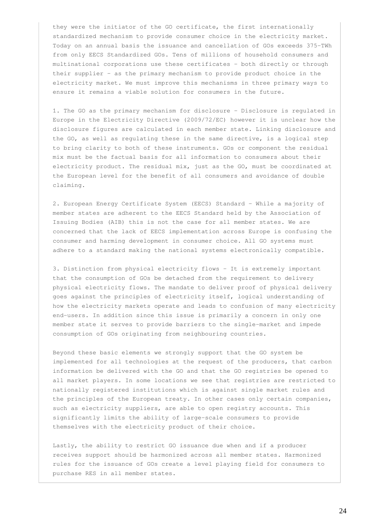they were the initiator of the GO certificate, the first internationally standardized mechanism to provide consumer choice in the electricity market. Today on an annual basis the issuance and cancellation of GOs exceeds 375-TWh from only EECS Standardized GOs. Tens of millions of household consumers and multinational corporations use these certificates – both directly or through their supplier – as the primary mechanism to provide product choice in the electricity market. We must improve this mechanisms in three primary ways to ensure it remains a viable solution for consumers in the future.

1. The GO as the primary mechanism for disclosure - Disclosure is regulated in Europe in the Electricity Directive (2009/72/EC) however it is unclear how the disclosure figures are calculated in each member state. Linking disclosure and the GO, as well as regulating these in the same directive, is a logical step to bring clarity to both of these instruments. GOs or component the residual mix must be the factual basis for all information to consumers about their electricity product. The residual mix, just as the GO, must be coordinated at the European level for the benefit of all consumers and avoidance of double claiming.

2. European Energy Certificate System (EECS) Standard - While a majority of member states are adherent to the EECS Standard held by the Association of Issuing Bodies (AIB) this is not the case for all member states. We are concerned that the lack of EECS implementation across Europe is confusing the consumer and harming development in consumer choice. All GO systems must adhere to a standard making the national systems electronically compatible.

3. Distinction from physical electricity flows - It is extremely important that the consumption of GOs be detached from the requirement to delivery physical electricity flows. The mandate to deliver proof of physical delivery goes against the principles of electricity itself, logical understanding of how the electricity markets operate and leads to confusion of many electricity end-users. In addition since this issue is primarily a concern in only one member state it serves to provide barriers to the single-market and impede consumption of GOs originating from neighbouring countries.

Beyond these basic elements we strongly support that the GO system be implemented for all technologies at the request of the producers, that carbon information be delivered with the GO and that the GO registries be opened to all market players. In some locations we see that registries are restricted to nationally registered institutions which is against single market rules and the principles of the European treaty. In other cases only certain companies, such as electricity suppliers, are able to open registry accounts. This significantly limits the ability of large-scale consumers to provide themselves with the electricity product of their choice.

Lastly, the ability to restrict GO issuance due when and if a producer receives support should be harmonized across all member states. Harmonized rules for the issuance of GOs create a level playing field for consumers to purchase RES in all member states.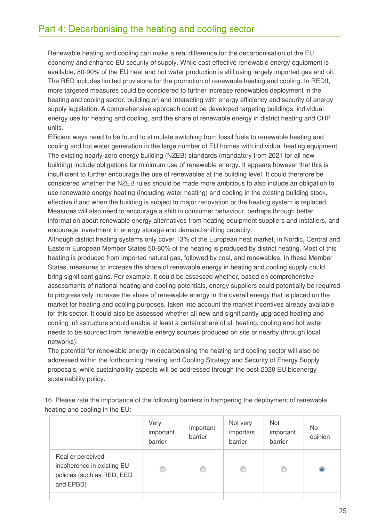Renewable heating and cooling can make a real difference for the decarbonisation of the EU economy and enhance EU security of supply. While cost-effective renewable energy equipment is available, 80-90% of the EU heat and hot water production is still using largely imported gas and oil. The RED includes limited provisions for the promotion of renewable heating and cooling. In REDII, more targeted measures could be considered to further increase renewables deployment in the heating and cooling sector, building on and interacting with energy efficiency and security of energy supply legislation. A comprehensive approach could be developed targeting buildings, individual energy use for heating and cooling, and the share of renewable energy in district heating and CHP units.

Efficient ways need to be found to stimulate switching from fossil fuels to renewable heating and cooling and hot water generation in the large number of EU homes with individual heating equipment. The existing nearly-zero energy building (NZEB) standards (mandatory from 2021 for all new building) include obligations for minimum use of renewable energy. It appears however that this is insufficient to further encourage the use of renewables at the building level. It could therefore be considered whether the NZEB rules should be made more ambitious to also include an obligation to use renewable energy heating (including water heating) and cooling in the existing building stock, effective if and when the building is subject to major renovation or the heating system is replaced. Measures will also need to encourage a shift in consumer behaviour, perhaps through better information about renewable energy alternatives from heating equipment suppliers and installers, and encourage investment in energy storage and demand-shifting capacity.

Although district heating systems only cover 13% of the European heat market, in Nordic, Central and Eastern European Member States 50-80% of the heating is produced by district heating. Most of this heating is produced from imported natural gas, followed by coal, and renewables. In these Member States, measures to increase the share of renewable energy in heating and cooling supply could bring significant gains. For example, it could be assessed whether, based on comprehensive assessments of national heating and cooling potentials, energy suppliers could potentially be required to progressively increase the share of renewable energy in the overall energy that is placed on the market for heating and cooling purposes, taken into account the market incentives already available for this sector. It could also be assessed whether all new and significantly upgraded heating and cooling infrastructure should enable at least a certain share of all heating, cooling and hot water needs to be sourced from renewable energy sources produced on site or nearby (through local networks).

The potential for renewable energy in decarbonising the heating and cooling sector will also be addressed within the forthcoming Heating and Cooling Strategy and Security of Energy Supply proposals, while sustainability aspects will be addressed through the post-2020 EU bioenergy sustainability policy.

|                                                                                            | Very<br>important<br>barrier | Important<br>barrier | Not very<br>important<br>barrier | Not<br>important<br>barrier | No.<br>opinion |
|--------------------------------------------------------------------------------------------|------------------------------|----------------------|----------------------------------|-----------------------------|----------------|
| Real or perceived<br>incoherence in existing EU<br>policies (such as RED, EED<br>and EPBD) | €                            |                      | €                                | ◎                           | $\bullet$      |
|                                                                                            |                              |                      |                                  |                             |                |

16. Please rate the importance of the following barriers in hampering the deployment of renewable heating and cooling in the EU: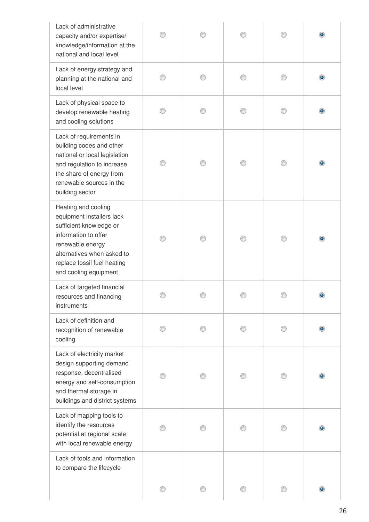| Lack of administrative<br>capacity and/or expertise/<br>knowledge/information at the<br>national and local level                                                                                              |  |   |           |
|---------------------------------------------------------------------------------------------------------------------------------------------------------------------------------------------------------------|--|---|-----------|
| Lack of energy strategy and<br>planning at the national and<br>local level                                                                                                                                    |  |   |           |
| Lack of physical space to<br>develop renewable heating<br>and cooling solutions                                                                                                                               |  | ∩ |           |
| Lack of requirements in<br>building codes and other<br>national or local legislation<br>and regulation to increase<br>the share of energy from<br>renewable sources in the<br>building sector                 |  | ∩ |           |
| Heating and cooling<br>equipment installers lack<br>sufficient knowledge or<br>information to offer<br>renewable energy<br>alternatives when asked to<br>replace fossil fuel heating<br>and cooling equipment |  |   | $\bullet$ |
| Lack of targeted financial<br>resources and financing<br>instruments                                                                                                                                          |  |   |           |
| Lack of definition and<br>recognition of renewable<br>cooling                                                                                                                                                 |  |   |           |
| Lack of electricity market<br>design supporting demand<br>response, decentralised<br>energy and self-consumption<br>and thermal storage in<br>buildings and district systems                                  |  |   |           |
| Lack of mapping tools to<br>identify the resources<br>potential at regional scale<br>with local renewable energy                                                                                              |  |   |           |
| Lack of tools and information<br>to compare the lifecycle                                                                                                                                                     |  |   | $\bullet$ |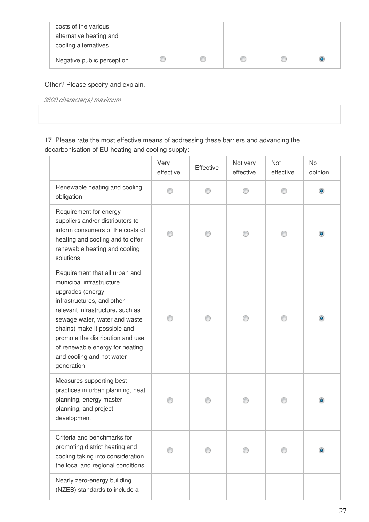| costs of the various<br>alternative heating and<br>cooling alternatives |  |   |  |
|-------------------------------------------------------------------------|--|---|--|
| Negative public perception                                              |  | œ |  |

## Other? Please specify and explain.

*3600 character(s) maximum* 

## 17. Please rate the most effective means of addressing these barriers and advancing the decarbonisation of EU heating and cooling supply:

|                                                                                                                                                                                                                                                                                                                                     | Very<br>effective | Effective | Not very<br>effective | Not<br>effective | <b>No</b><br>opinion |
|-------------------------------------------------------------------------------------------------------------------------------------------------------------------------------------------------------------------------------------------------------------------------------------------------------------------------------------|-------------------|-----------|-----------------------|------------------|----------------------|
| Renewable heating and cooling<br>obligation                                                                                                                                                                                                                                                                                         |                   |           |                       |                  | ۰                    |
| Requirement for energy<br>suppliers and/or distributors to<br>inform consumers of the costs of<br>heating and cooling and to offer<br>renewable heating and cooling<br>solutions                                                                                                                                                    |                   |           |                       |                  | $\bullet$            |
| Requirement that all urban and<br>municipal infrastructure<br>upgrades (energy<br>infrastructures, and other<br>relevant infrastructure, such as<br>sewage water, water and waste<br>chains) make it possible and<br>promote the distribution and use<br>of renewable energy for heating<br>and cooling and hot water<br>generation |                   |           |                       |                  |                      |
| Measures supporting best<br>practices in urban planning, heat<br>planning, energy master<br>planning, and project<br>development                                                                                                                                                                                                    |                   |           |                       |                  |                      |
| Criteria and benchmarks for<br>promoting district heating and<br>cooling taking into consideration<br>the local and regional conditions                                                                                                                                                                                             |                   |           |                       |                  |                      |
| Nearly zero-energy building<br>(NZEB) standards to include a                                                                                                                                                                                                                                                                        |                   |           |                       |                  |                      |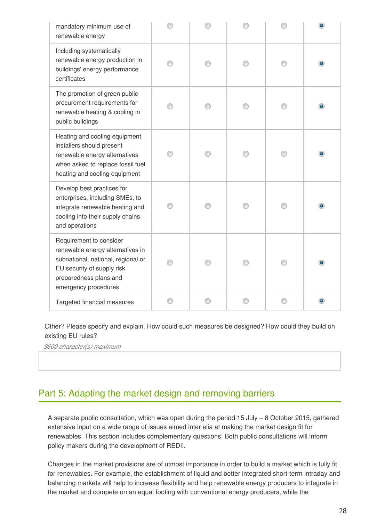| mandatory minimum use of<br>renewable energy                                                                                                                                      |   |   |   |   |   |
|-----------------------------------------------------------------------------------------------------------------------------------------------------------------------------------|---|---|---|---|---|
| Including systematically<br>renewable energy production in<br>buildings' energy performance<br>certificates                                                                       |   |   |   |   |   |
| The promotion of green public<br>procurement requirements for<br>renewable heating & cooling in<br>public buildings                                                               |   |   |   |   |   |
| Heating and cooling equipment<br>installers should present<br>renewable energy alternatives<br>when asked to replace fossil fuel<br>heating and cooling equipment                 |   |   |   |   |   |
| Develop best practices for<br>enterprises, including SMEs, to<br>integrate renewable heating and<br>cooling into their supply chains<br>and operations                            |   |   |   |   |   |
| Requirement to consider<br>renewable energy alternatives in<br>subnational, national, regional or<br>EU security of supply risk<br>preparedness plans and<br>emergency procedures |   |   |   |   |   |
| Targeted financial measures                                                                                                                                                       | € | O | ◎ | ◎ | ۰ |

Other? Please specify and explain. How could such measures be designed? How could they build on existing EU rules?

*3600 character(s) maximum* 

# Part 5: Adapting the market design and removing barriers

A separate public consultation, which was open during the period 15 July – 8 October 2015, gathered extensive input on a wide range of issues aimed inter alia at making the market design fit for renewables. This section includes complementary questions. Both public consultations will inform policy makers during the development of REDII.

Changes in the market provisions are of utmost importance in order to build a market which is fully fit for renewables. For example, the establishment of liquid and better integrated short-term intraday and balancing markets will help to increase flexibility and help renewable energy producers to integrate in the market and compete on an equal footing with conventional energy producers, while the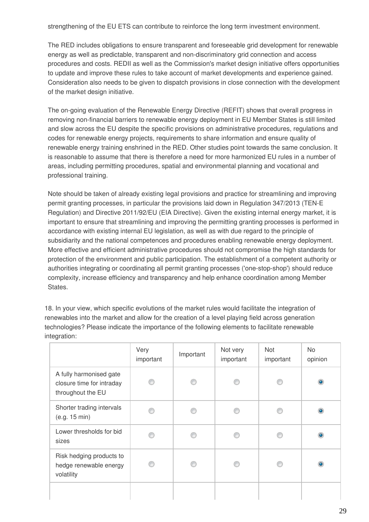strengthening of the EU ETS can contribute to reinforce the long term investment environment.

The RED includes obligations to ensure transparent and foreseeable grid development for renewable energy as well as predictable, transparent and non-discriminatory grid connection and access procedures and costs. REDII as well as the Commission's market design initiative offers opportunities to update and improve these rules to take account of market developments and experience gained. Consideration also needs to be given to dispatch provisions in close connection with the development of the market design initiative.

The on-going evaluation of the Renewable Energy Directive (REFIT) shows that overall progress in removing non-financial barriers to renewable energy deployment in EU Member States is still limited and slow across the EU despite the specific provisions on administrative procedures, regulations and codes for renewable energy projects, requirements to share information and ensure quality of renewable energy training enshrined in the RED. Other studies point towards the same conclusion. It is reasonable to assume that there is therefore a need for more harmonized EU rules in a number of areas, including permitting procedures, spatial and environmental planning and vocational and professional training.

Note should be taken of already existing legal provisions and practice for streamlining and improving permit granting processes, in particular the provisions laid down in Regulation 347/2013 (TEN-E Regulation) and Directive 2011/92/EU (EIA Directive). Given the existing internal energy market, it is important to ensure that streamlining and improving the permitting granting processes is performed in accordance with existing internal EU legislation, as well as with due regard to the principle of subsidiarity and the national competences and procedures enabling renewable energy deployment. More effective and efficient administrative procedures should not compromise the high standards for protection of the environment and public participation. The establishment of a competent authority or authorities integrating or coordinating all permit granting processes ('one-stop-shop') should reduce complexity, increase efficiency and transparency and help enhance coordination among Member States.

18. In your view, which specific evolutions of the market rules would facilitate the integration of renewables into the market and allow for the creation of a level playing field across generation technologies? Please indicate the importance of the following elements to facilitate renewable integration:

|                                                                           | Very<br>important | Important | Not very<br>important | <b>Not</b><br>important | No.<br>opinion |
|---------------------------------------------------------------------------|-------------------|-----------|-----------------------|-------------------------|----------------|
| A fully harmonised gate<br>closure time for intraday<br>throughout the EU | ⋒                 |           |                       |                         | $\circledcirc$ |
| Shorter trading intervals<br>(e.g. 15 min)                                |                   |           |                       |                         | ۰              |
| Lower thresholds for bid<br>sizes                                         |                   |           |                       |                         | $\bullet$      |
| Risk hedging products to<br>hedge renewable energy<br>volatility          |                   |           |                       |                         | ۰              |
|                                                                           |                   |           |                       |                         |                |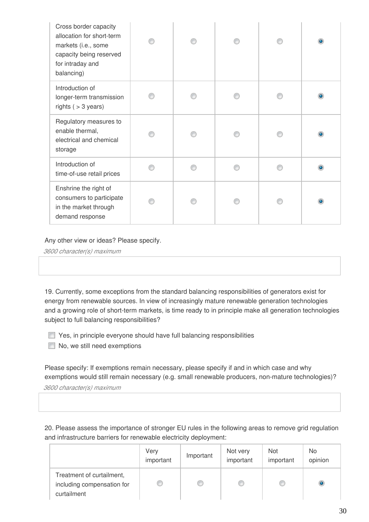| Cross border capacity<br>allocation for short-term<br>markets (i.e., some<br>capacity being reserved<br>for intraday and<br>balancing) |  |  |  |
|----------------------------------------------------------------------------------------------------------------------------------------|--|--|--|
| Introduction of<br>longer-term transmission<br>rights $( > 3$ years)                                                                   |  |  |  |
| Regulatory measures to<br>enable thermal,<br>electrical and chemical<br>storage                                                        |  |  |  |
| Introduction of<br>time-of-use retail prices                                                                                           |  |  |  |
| Enshrine the right of<br>consumers to participate<br>in the market through<br>demand response                                          |  |  |  |

Any other view or ideas? Please specify.

*3600 character(s) maximum* 

19. Currently, some exceptions from the standard balancing responsibilities of generators exist for energy from renewable sources. In view of increasingly mature renewable generation technologies and a growing role of short-term markets, is time ready to in principle make all generation technologies subject to full balancing responsibilities?

**The Yes, in principle everyone should have full balancing responsibilities** 

No, we still need exemptions

Please specify: If exemptions remain necessary, please specify if and in which case and why exemptions would still remain necessary (e.g. small renewable producers, non-mature technologies)?

*3600 character(s) maximum* 

20. Please assess the importance of stronger EU rules in the following areas to remove grid regulation and infrastructure barriers for renewable electricity deployment:

|                                                                        | Very<br>important | Important | Not very<br>important | Not<br>important | No<br>opinion |
|------------------------------------------------------------------------|-------------------|-----------|-----------------------|------------------|---------------|
| Treatment of curtailment,<br>including compensation for<br>curtailment |                   | œ         |                       | O                |               |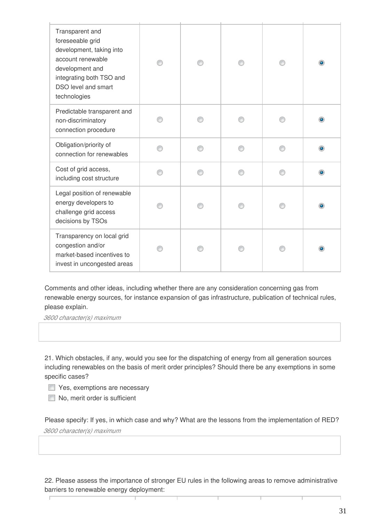| Transparent and<br>foreseeable grid<br>development, taking into<br>account renewable<br>development and<br>integrating both TSO and<br>DSO level and smart<br>technologies |   |  |  |
|----------------------------------------------------------------------------------------------------------------------------------------------------------------------------|---|--|--|
| Predictable transparent and<br>non-discriminatory<br>connection procedure                                                                                                  |   |  |  |
| Obligation/priority of<br>connection for renewables                                                                                                                        | ⋒ |  |  |
| Cost of grid access,<br>including cost structure                                                                                                                           | A |  |  |
| Legal position of renewable<br>energy developers to<br>challenge grid access<br>decisions by TSOs                                                                          |   |  |  |
| Transparency on local grid<br>congestion and/or<br>market-based incentives to<br>invest in uncongested areas                                                               |   |  |  |

Comments and other ideas, including whether there are any consideration concerning gas from renewable energy sources, for instance expansion of gas infrastructure, publication of technical rules, please explain.

*3600 character(s) maximum* 

21. Which obstacles, if any, would you see for the dispatching of energy from all generation sources including renewables on the basis of merit order principles? Should there be any exemptions in some specific cases?

Yes, exemptions are necessary

No, merit order is sufficient

Please specify: If yes, in which case and why? What are the lessons from the implementation of RED? *3600 character(s) maximum* 

22. Please assess the importance of stronger EU rules in the following areas to remove administrative barriers to renewable energy deployment: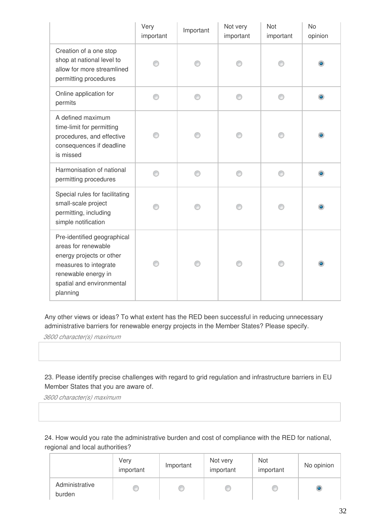|                                                                                                                                                                         | Very<br>important | Important | Not very<br>important | Not<br>important | <b>No</b><br>opinion |
|-------------------------------------------------------------------------------------------------------------------------------------------------------------------------|-------------------|-----------|-----------------------|------------------|----------------------|
| Creation of a one stop<br>shop at national level to<br>allow for more streamlined<br>permitting procedures                                                              |                   |           |                       |                  | ۰                    |
| Online application for<br>permits                                                                                                                                       |                   |           | ∩                     |                  | $\bullet$            |
| A defined maximum<br>time-limit for permitting<br>procedures, and effective<br>consequences if deadline<br>is missed                                                    |                   |           |                       | ∩                | $\bullet$            |
| Harmonisation of national<br>permitting procedures                                                                                                                      |                   |           | ⋒                     |                  | $\bullet$            |
| Special rules for facilitating<br>small-scale project<br>permitting, including<br>simple notification                                                                   |                   |           |                       |                  |                      |
| Pre-identified geographical<br>areas for renewable<br>energy projects or other<br>measures to integrate<br>renewable energy in<br>spatial and environmental<br>planning |                   |           |                       |                  | ۰                    |

Any other views or ideas? To what extent has the RED been successful in reducing unnecessary administrative barriers for renewable energy projects in the Member States? Please specify.

*3600 character(s) maximum* 

23. Please identify precise challenges with regard to grid regulation and infrastructure barriers in EU Member States that you are aware of.

*3600 character(s) maximum* 

24. How would you rate the administrative burden and cost of compliance with the RED for national, regional and local authorities?

|                          | Very<br>important | Important | Not very<br>important | Not<br>important | No opinion |
|--------------------------|-------------------|-----------|-----------------------|------------------|------------|
| Administrative<br>burden |                   |           |                       |                  |            |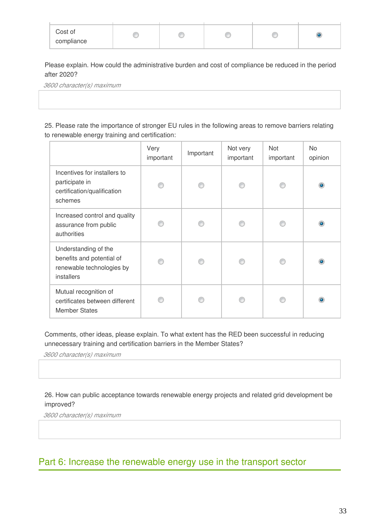| Cost of    |  |  |  |
|------------|--|--|--|
| compliance |  |  |  |

Please explain. How could the administrative burden and cost of compliance be reduced in the period after 2020?

*3600 character(s) maximum* 

25. Please rate the importance of stronger EU rules in the following areas to remove barriers relating to renewable energy training and certification:

|                                                                                              | Very<br>important | Important | Not very<br>important | <b>Not</b><br>important | No.<br>opinion |
|----------------------------------------------------------------------------------------------|-------------------|-----------|-----------------------|-------------------------|----------------|
| Incentives for installers to<br>participate in<br>certification/qualification<br>schemes     | ⋒                 |           |                       |                         | ۰              |
| Increased control and quality<br>assurance from public<br>authorities                        |                   |           |                       |                         |                |
| Understanding of the<br>benefits and potential of<br>renewable technologies by<br>installers |                   |           |                       |                         |                |
| Mutual recognition of<br>certificates between different<br><b>Member States</b>              |                   |           |                       |                         |                |

Comments, other ideas, please explain. To what extent has the RED been successful in reducing unnecessary training and certification barriers in the Member States?

*3600 character(s) maximum* 

### 26. How can public acceptance towards renewable energy projects and related grid development be improved?

*3600 character(s) maximum* 

# Part 6: Increase the renewable energy use in the transport sector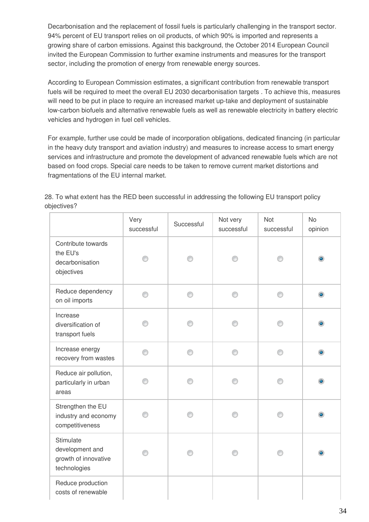Decarbonisation and the replacement of fossil fuels is particularly challenging in the transport sector. 94% percent of EU transport relies on oil products, of which 90% is imported and represents a growing share of carbon emissions. Against this background, the October 2014 European Council invited the European Commission to further examine instruments and measures for the transport sector, including the promotion of energy from renewable energy sources.

According to European Commission estimates, a significant contribution from renewable transport fuels will be required to meet the overall EU 2030 decarbonisation targets . To achieve this, measures will need to be put in place to require an increased market up-take and deployment of sustainable low-carbon biofuels and alternative renewable fuels as well as renewable electricity in battery electric vehicles and hydrogen in fuel cell vehicles.

For example, further use could be made of incorporation obligations, dedicated financing (in particular in the heavy duty transport and aviation industry) and measures to increase access to smart energy services and infrastructure and promote the development of advanced renewable fuels which are not based on food crops. Special care needs to be taken to remove current market distortions and fragmentations of the EU internal market.

28. To what extent has the RED been successful in addressing the following EU transport policy objectives?

|                                                                      | Very<br>successful | Successful | Not very<br>successful | <b>Not</b><br>successful | <b>No</b><br>opinion |
|----------------------------------------------------------------------|--------------------|------------|------------------------|--------------------------|----------------------|
| Contribute towards<br>the EU's<br>decarbonisation<br>objectives      |                    |            |                        |                          |                      |
| Reduce dependency<br>on oil imports                                  | ∩                  | ∩          | ∩                      | ⋒                        | $\bullet$            |
| Increase<br>diversification of<br>transport fuels                    | ⋒                  | ∩          | ∩                      | ⋒                        |                      |
| Increase energy<br>recovery from wastes                              | ∩                  | ⋒          | ∩                      |                          |                      |
| Reduce air pollution,<br>particularly in urban<br>areas              | ∩                  |            |                        |                          |                      |
| Strengthen the EU<br>industry and economy<br>competitiveness         | ∩                  | ∩          | ∩                      |                          |                      |
| Stimulate<br>development and<br>growth of innovative<br>technologies |                    |            |                        |                          |                      |
| Reduce production<br>costs of renewable                              |                    |            |                        |                          |                      |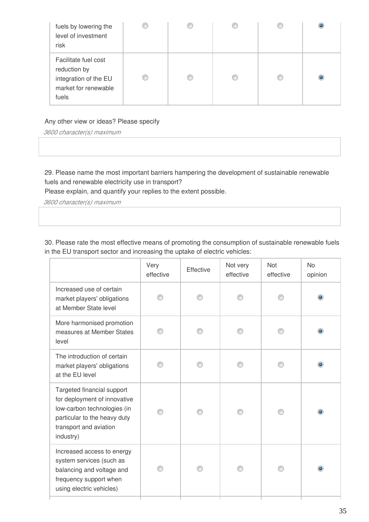| fuels by lowering the<br>level of investment<br>risk                                           |  |  |  |
|------------------------------------------------------------------------------------------------|--|--|--|
| Facilitate fuel cost<br>reduction by<br>integration of the EU<br>market for renewable<br>fuels |  |  |  |

### Any other view or ideas? Please specify

*3600 character(s) maximum* 

29. Please name the most important barriers hampering the development of sustainable renewable fuels and renewable electricity use in transport?

Please explain, and quantify your replies to the extent possible.

*3600 character(s) maximum* 

30. Please rate the most effective means of promoting the consumption of sustainable renewable fuels in the EU transport sector and increasing the uptake of electric vehicles:

|                                                                                                                                                                  | Very<br>effective | Effective | Not very<br>effective | Not<br>effective | <b>No</b><br>opinion |
|------------------------------------------------------------------------------------------------------------------------------------------------------------------|-------------------|-----------|-----------------------|------------------|----------------------|
| Increased use of certain<br>market players' obligations<br>at Member State level                                                                                 |                   |           |                       |                  |                      |
| More harmonised promotion<br>measures at Member States<br>level                                                                                                  |                   |           |                       |                  |                      |
| The introduction of certain<br>market players' obligations<br>at the EU level                                                                                    |                   |           |                       |                  |                      |
| Targeted financial support<br>for deployment of innovative<br>low-carbon technologies (in<br>particular to the heavy duty<br>transport and aviation<br>industry) |                   |           |                       |                  | ۰                    |
| Increased access to energy<br>system services (such as<br>balancing and voltage and<br>frequency support when<br>using electric vehicles)                        |                   |           |                       |                  |                      |